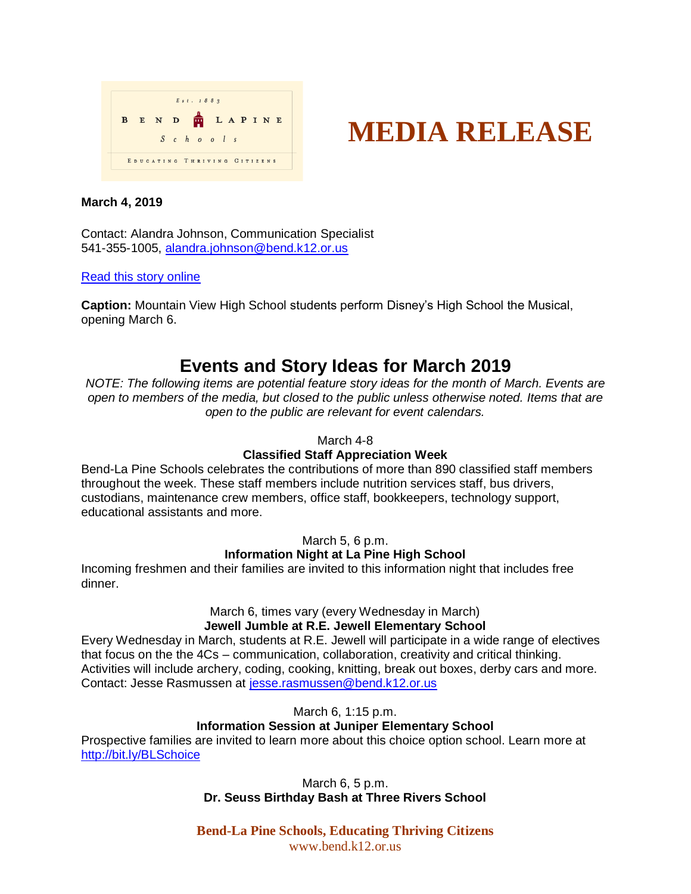



### **March 4, 2019**

Contact: Alandra Johnson, Communication Specialist 541-355-1005, [alandra.johnson@bend.k12.or.us](mailto:alandra.johnson@bend.k12.or.us)

### [Read this story online](https://www.bend.k12.or.us/district/news-events/news/2019/03/concerts-plays-and-more)

**Caption:** Mountain View High School students perform Disney's High School the Musical, opening March 6.

# **Events and Story Ideas for March 2019**

*NOTE: The following items are potential feature story ideas for the month of March. Events are open to members of the media, but closed to the public unless otherwise noted. Items that are open to the public are relevant for event calendars.*

### March 4-8

## **Classified Staff Appreciation Week**

Bend-La Pine Schools celebrates the contributions of more than 890 classified staff members throughout the week. These staff members include nutrition services staff, bus drivers, custodians, maintenance crew members, office staff, bookkeepers, technology support, educational assistants and more.

#### March 5, 6 p.m.

## **Information Night at La Pine High School**

Incoming freshmen and their families are invited to this information night that includes free dinner.

## March 6, times vary (every Wednesday in March) **Jewell Jumble at R.E. Jewell Elementary School**

Every Wednesday in March, students at R.E. Jewell will participate in a wide range of electives that focus on the the 4Cs – communication, collaboration, creativity and critical thinking. Activities will include archery, coding, cooking, knitting, break out boxes, derby cars and more. Contact: Jesse Rasmussen at [jesse.rasmussen@bend.k12.or.us](mailto:jesse.rasmussen@bend.k12.or.us)

March 6, 1:15 p.m.

## **Information Session at Juniper Elementary School**

Prospective families are invited to learn more about this choice option school. Learn more at <http://bit.ly/BLSchoice>

> March 6, 5 p.m. **Dr. Seuss Birthday Bash at Three Rivers School**

**Bend-La Pine Schools, Educating Thriving Citizens** www.bend.k12.or.us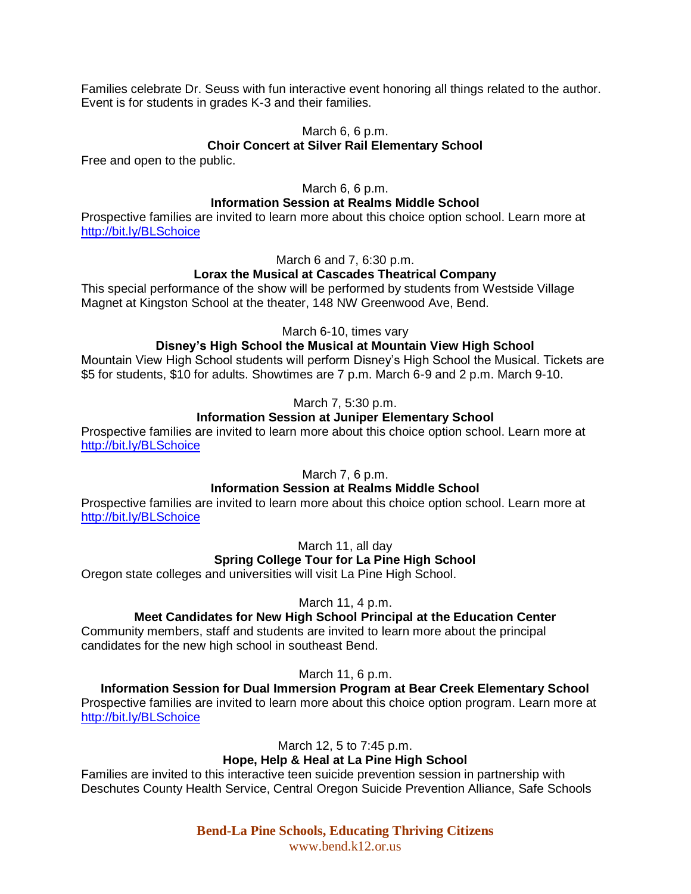Families celebrate Dr. Seuss with fun interactive event honoring all things related to the author. Event is for students in grades K-3 and their families.

## March 6, 6 p.m.

### **Choir Concert at Silver Rail Elementary School**

Free and open to the public.

### March 6, 6 p.m.

### **Information Session at Realms Middle School**

Prospective families are invited to learn more about this choice option school. Learn more at <http://bit.ly/BLSchoice>

March 6 and 7, 6:30 p.m.

## **Lorax the Musical at Cascades Theatrical Company**

This special performance of the show will be performed by students from Westside Village Magnet at Kingston School at the theater, 148 NW Greenwood Ave, Bend.

March 6-10, times vary

## **Disney's High School the Musical at Mountain View High School**

Mountain View High School students will perform Disney's High School the Musical. Tickets are \$5 for students, \$10 for adults. Showtimes are 7 p.m. March 6-9 and 2 p.m. March 9-10.

March 7, 5:30 p.m.

## **Information Session at Juniper Elementary School**

Prospective families are invited to learn more about this choice option school. Learn more at <http://bit.ly/BLSchoice>

March 7, 6 p.m.

## **Information Session at Realms Middle School**

Prospective families are invited to learn more about this choice option school. Learn more at <http://bit.ly/BLSchoice>

March 11, all day

## **Spring College Tour for La Pine High School**

Oregon state colleges and universities will visit La Pine High School.

March 11, 4 p.m.

## **Meet Candidates for New High School Principal at the Education Center**

Community members, staff and students are invited to learn more about the principal candidates for the new high school in southeast Bend.

March 11, 6 p.m.

**Information Session for Dual Immersion Program at Bear Creek Elementary School** Prospective families are invited to learn more about this choice option program. Learn more at <http://bit.ly/BLSchoice>

March 12, 5 to 7:45 p.m.

## **Hope, Help & Heal at La Pine High School**

Families are invited to this interactive teen suicide prevention session in partnership with Deschutes County Health Service, Central Oregon Suicide Prevention Alliance, Safe Schools

> **Bend-La Pine Schools, Educating Thriving Citizens** www.bend.k12.or.us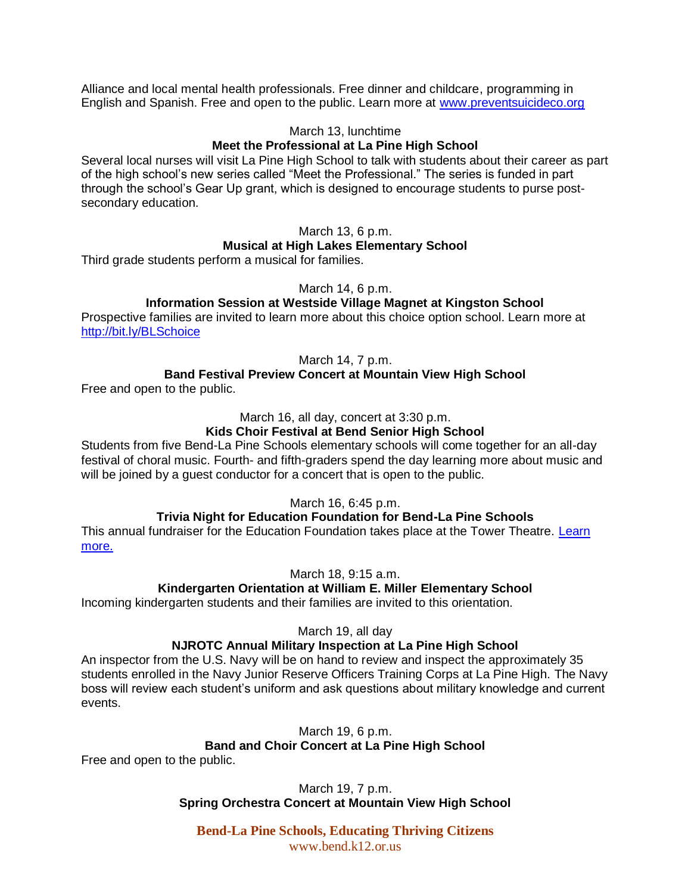Alliance and local mental health professionals. Free dinner and childcare, programming in English and Spanish. Free and open to the public. Learn more at [www.preventsuicideco.org](http://www.preventsuicideco.org/)

### March 13, lunchtime

## **Meet the Professional at La Pine High School**

Several local nurses will visit La Pine High School to talk with students about their career as part of the high school's new series called "Meet the Professional." The series is funded in part through the school's Gear Up grant, which is designed to encourage students to purse postsecondary education.

# March 13, 6 p.m.

## **Musical at High Lakes Elementary School**

Third grade students perform a musical for families.

March 14, 6 p.m.

## **Information Session at Westside Village Magnet at Kingston School**

Prospective families are invited to learn more about this choice option school. Learn more at <http://bit.ly/BLSchoice>

March 14, 7 p.m.

## **Band Festival Preview Concert at Mountain View High School**

Free and open to the public.

March 16, all day, concert at 3:30 p.m.

## **Kids Choir Festival at Bend Senior High School**

Students from five Bend-La Pine Schools elementary schools will come together for an all-day festival of choral music. Fourth- and fifth-graders spend the day learning more about music and will be joined by a guest conductor for a concert that is open to the public.

March 16, 6:45 p.m.

## **Trivia Night for Education Foundation for Bend-La Pine Schools**

This annual fundraiser for the Education Foundation takes place at the Tower Theatre. [Learn](https://www.towertheatre.org/tickets-and-events/trivia-night-at-the-tower)  [more.](https://www.towertheatre.org/tickets-and-events/trivia-night-at-the-tower)

March 18, 9:15 a.m.

## **Kindergarten Orientation at William E. Miller Elementary School**

Incoming kindergarten students and their families are invited to this orientation.

March 19, all day

## **NJROTC Annual Military Inspection at La Pine High School**

An inspector from the U.S. Navy will be on hand to review and inspect the approximately 35 students enrolled in the Navy Junior Reserve Officers Training Corps at La Pine High. The Navy boss will review each student's uniform and ask questions about military knowledge and current events.

March 19, 6 p.m.

## **Band and Choir Concert at La Pine High School**

Free and open to the public.

March 19, 7 p.m. **Spring Orchestra Concert at Mountain View High School**

**Bend-La Pine Schools, Educating Thriving Citizens** www.bend.k12.or.us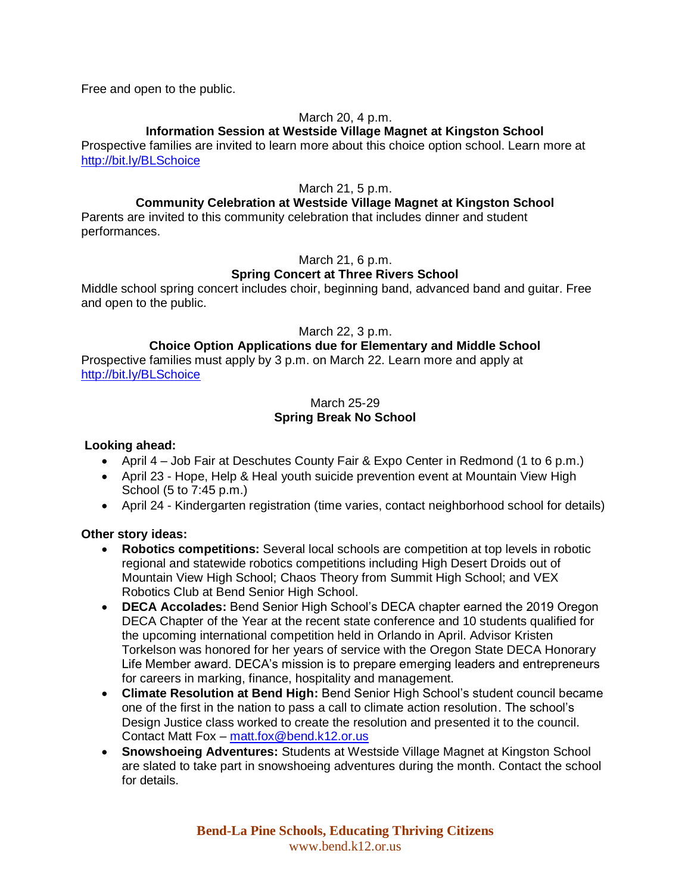Free and open to the public.

## March 20, 4 p.m.

## **Information Session at Westside Village Magnet at Kingston School**

Prospective families are invited to learn more about this choice option school. Learn more at <http://bit.ly/BLSchoice>

## March 21, 5 p.m.

## **Community Celebration at Westside Village Magnet at Kingston School**

Parents are invited to this community celebration that includes dinner and student performances.

## March 21, 6 p.m.

## **Spring Concert at Three Rivers School**

Middle school spring concert includes choir, beginning band, advanced band and guitar. Free and open to the public.

March 22, 3 p.m.

## **Choice Option Applications due for Elementary and Middle School**

Prospective families must apply by 3 p.m. on March 22. Learn more and apply at <http://bit.ly/BLSchoice>

## March 25-29 **Spring Break No School**

## **Looking ahead:**

- April 4 Job Fair at Deschutes County Fair & Expo Center in Redmond (1 to 6 p.m.)
- April 23 Hope, Help & Heal youth suicide prevention event at Mountain View High School (5 to 7:45 p.m.)
- April 24 Kindergarten registration (time varies, contact neighborhood school for details)

## **Other story ideas:**

- **Robotics competitions:** Several local schools are competition at top levels in robotic regional and statewide robotics competitions including High Desert Droids out of Mountain View High School; Chaos Theory from Summit High School; and VEX Robotics Club at Bend Senior High School.
- **DECA Accolades:** Bend Senior High School's DECA chapter earned the 2019 Oregon DECA Chapter of the Year at the recent state conference and 10 students qualified for the upcoming international competition held in Orlando in April. Advisor Kristen Torkelson was honored for her years of service with the Oregon State DECA Honorary Life Member award. DECA's mission is to prepare emerging leaders and entrepreneurs for careers in marking, finance, hospitality and management.
- **Climate Resolution at Bend High:** Bend Senior High School's student council became one of the first in the nation to pass a call to climate action resolution. The school's Design Justice class worked to create the resolution and presented it to the council. Contact Matt Fox – [matt.fox@bend.k12.or.us](mailto:matt.fox@bend.k12.or.us)
- **Snowshoeing Adventures:** Students at Westside Village Magnet at Kingston School are slated to take part in snowshoeing adventures during the month. Contact the school for details.